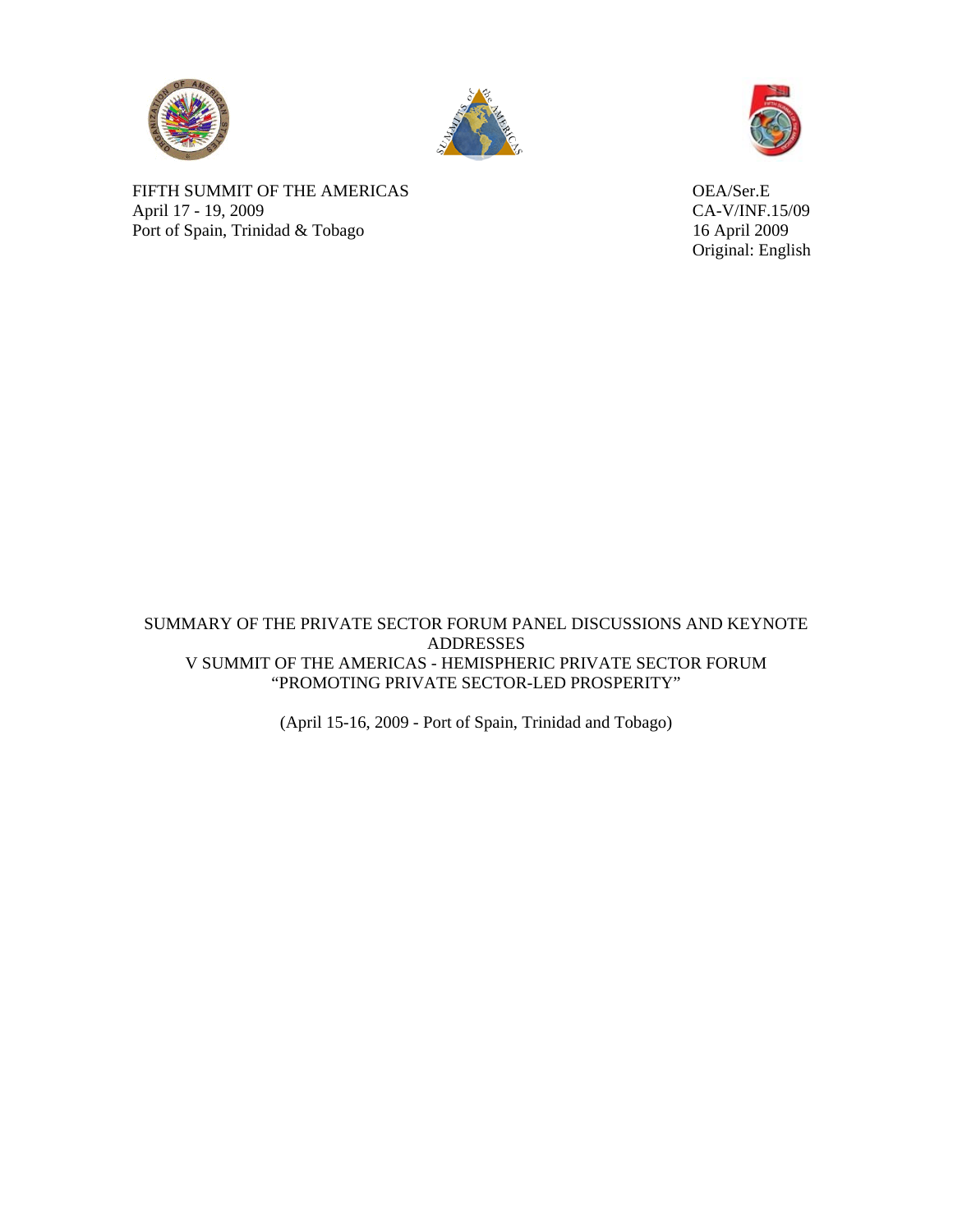





Original: English

FIFTH SUMMIT OF THE AMERICAS OEA/Ser.E April 17 - 19, 2009 CA-V/INF.15/09 Port of Spain, Trinidad & Tobago 16 April 2009

SUMMARY OF THE PRIVATE SECTOR FORUM PANEL DISCUSSIONS AND KEYNOTE ADDRESSES V SUMMIT OF THE AMERICAS - HEMISPHERIC PRIVATE SECTOR FORUM "PROMOTING PRIVATE SECTOR-LED PROSPERITY"

(April 15-16, 2009 - Port of Spain, Trinidad and Tobago)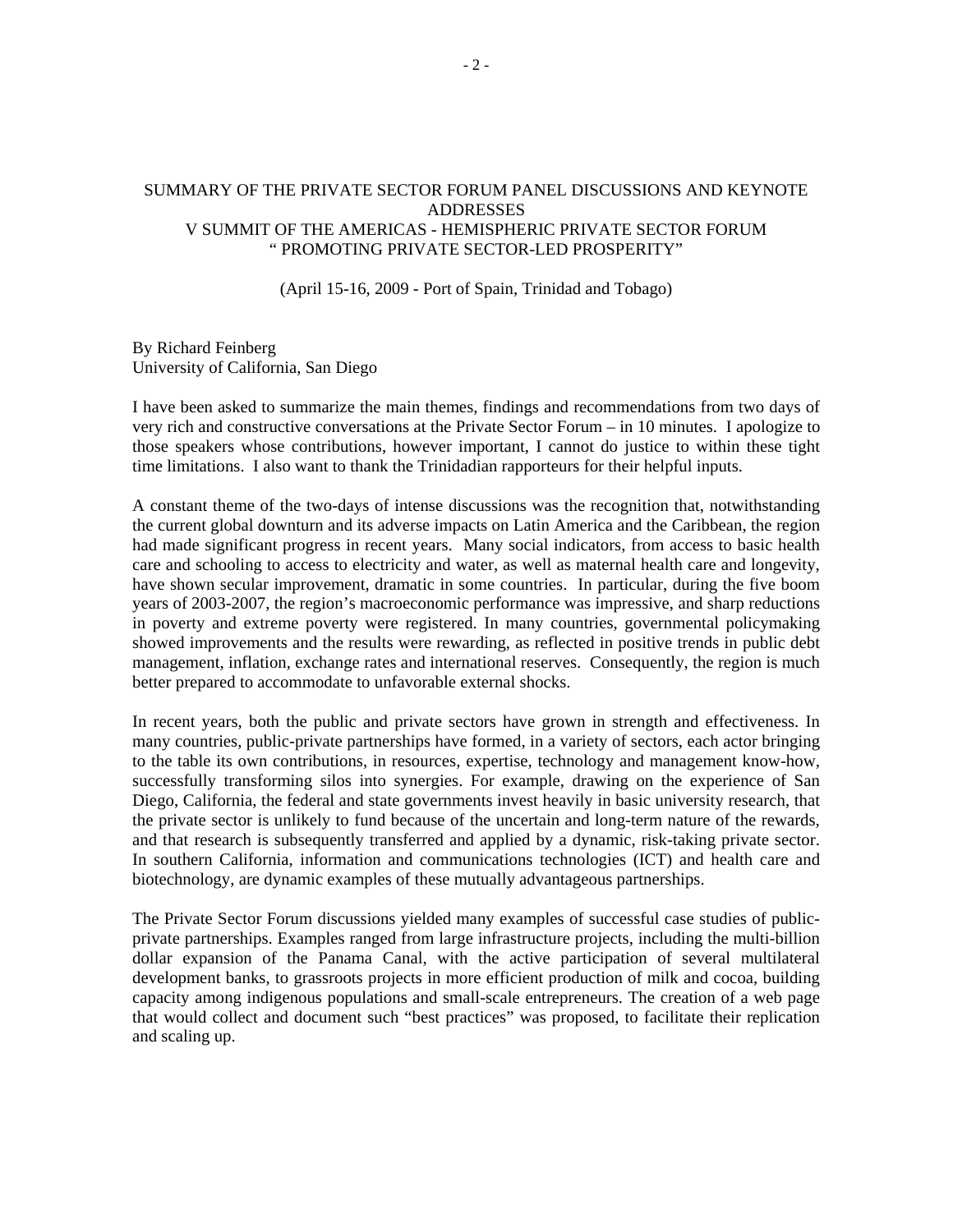## SUMMARY OF THE PRIVATE SECTOR FORUM PANEL DISCUSSIONS AND KEYNOTE ADDRESSES V SUMMIT OF THE AMERICAS - HEMISPHERIC PRIVATE SECTOR FORUM " PROMOTING PRIVATE SECTOR-LED PROSPERITY"

(April 15-16, 2009 - Port of Spain, Trinidad and Tobago)

## By Richard Feinberg University of California, San Diego

I have been asked to summarize the main themes, findings and recommendations from two days of very rich and constructive conversations at the Private Sector Forum – in 10 minutes. I apologize to those speakers whose contributions, however important, I cannot do justice to within these tight time limitations. I also want to thank the Trinidadian rapporteurs for their helpful inputs.

A constant theme of the two-days of intense discussions was the recognition that, notwithstanding the current global downturn and its adverse impacts on Latin America and the Caribbean, the region had made significant progress in recent years. Many social indicators, from access to basic health care and schooling to access to electricity and water, as well as maternal health care and longevity, have shown secular improvement, dramatic in some countries. In particular, during the five boom years of 2003-2007, the region's macroeconomic performance was impressive, and sharp reductions in poverty and extreme poverty were registered. In many countries, governmental policymaking showed improvements and the results were rewarding, as reflected in positive trends in public debt management, inflation, exchange rates and international reserves. Consequently, the region is much better prepared to accommodate to unfavorable external shocks.

In recent years, both the public and private sectors have grown in strength and effectiveness. In many countries, public-private partnerships have formed, in a variety of sectors, each actor bringing to the table its own contributions, in resources, expertise, technology and management know-how, successfully transforming silos into synergies. For example, drawing on the experience of San Diego, California, the federal and state governments invest heavily in basic university research, that the private sector is unlikely to fund because of the uncertain and long-term nature of the rewards, and that research is subsequently transferred and applied by a dynamic, risk-taking private sector. In southern California, information and communications technologies (ICT) and health care and biotechnology, are dynamic examples of these mutually advantageous partnerships.

The Private Sector Forum discussions yielded many examples of successful case studies of publicprivate partnerships. Examples ranged from large infrastructure projects, including the multi-billion dollar expansion of the Panama Canal, with the active participation of several multilateral development banks, to grassroots projects in more efficient production of milk and cocoa, building capacity among indigenous populations and small-scale entrepreneurs. The creation of a web page that would collect and document such "best practices" was proposed, to facilitate their replication and scaling up.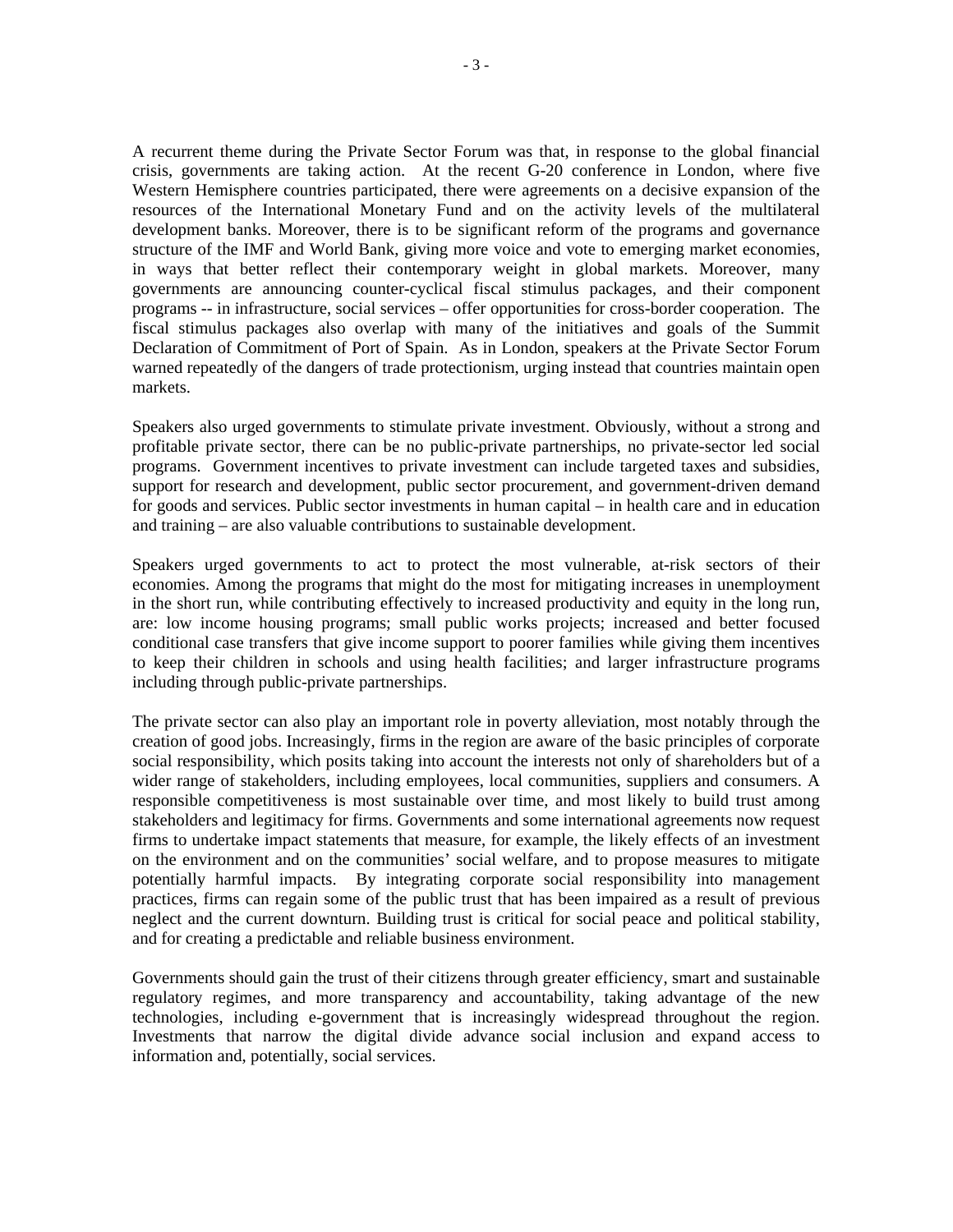A recurrent theme during the Private Sector Forum was that, in response to the global financial crisis, governments are taking action. At the recent G-20 conference in London, where five Western Hemisphere countries participated, there were agreements on a decisive expansion of the resources of the International Monetary Fund and on the activity levels of the multilateral development banks. Moreover, there is to be significant reform of the programs and governance structure of the IMF and World Bank, giving more voice and vote to emerging market economies, in ways that better reflect their contemporary weight in global markets. Moreover, many governments are announcing counter-cyclical fiscal stimulus packages, and their component programs -- in infrastructure, social services – offer opportunities for cross-border cooperation. The fiscal stimulus packages also overlap with many of the initiatives and goals of the Summit Declaration of Commitment of Port of Spain. As in London, speakers at the Private Sector Forum warned repeatedly of the dangers of trade protectionism, urging instead that countries maintain open markets.

Speakers also urged governments to stimulate private investment. Obviously, without a strong and profitable private sector, there can be no public-private partnerships, no private-sector led social programs. Government incentives to private investment can include targeted taxes and subsidies, support for research and development, public sector procurement, and government-driven demand for goods and services. Public sector investments in human capital – in health care and in education and training – are also valuable contributions to sustainable development.

Speakers urged governments to act to protect the most vulnerable, at-risk sectors of their economies. Among the programs that might do the most for mitigating increases in unemployment in the short run, while contributing effectively to increased productivity and equity in the long run, are: low income housing programs; small public works projects; increased and better focused conditional case transfers that give income support to poorer families while giving them incentives to keep their children in schools and using health facilities; and larger infrastructure programs including through public-private partnerships.

The private sector can also play an important role in poverty alleviation, most notably through the creation of good jobs. Increasingly, firms in the region are aware of the basic principles of corporate social responsibility, which posits taking into account the interests not only of shareholders but of a wider range of stakeholders, including employees, local communities, suppliers and consumers. A responsible competitiveness is most sustainable over time, and most likely to build trust among stakeholders and legitimacy for firms. Governments and some international agreements now request firms to undertake impact statements that measure, for example, the likely effects of an investment on the environment and on the communities' social welfare, and to propose measures to mitigate potentially harmful impacts. By integrating corporate social responsibility into management practices, firms can regain some of the public trust that has been impaired as a result of previous neglect and the current downturn. Building trust is critical for social peace and political stability, and for creating a predictable and reliable business environment.

Governments should gain the trust of their citizens through greater efficiency, smart and sustainable regulatory regimes, and more transparency and accountability, taking advantage of the new technologies, including e-government that is increasingly widespread throughout the region. Investments that narrow the digital divide advance social inclusion and expand access to information and, potentially, social services.